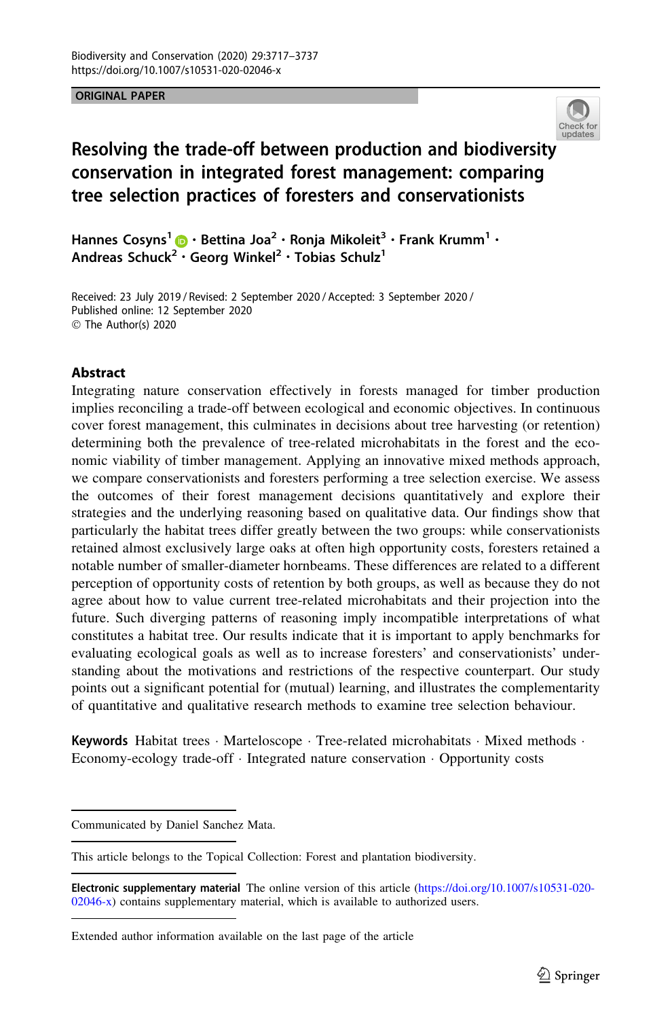#### ORIGINAL PAPER



# Resolving the trade-off between production and biodiversit[y](http://crossmark.crossref.org/dialog/?doi=10.1007/s10531-020-02046-x&domain=pdf) conservation in integrated forest management: comparing tree selection practices of foresters and conservationists

Hannes Cosyns<sup>1</sup> • Bettina Joa<sup>2</sup> · Ronja Mikoleit<sup>3</sup> · Frank Krumm<sup>1</sup> · Andreas Schuck<sup>[2](http://orcid.org/0000-0001-9609-9356)</sup> · Georg Winkel<sup>2</sup> · Tobias Schulz<sup>1</sup>

Received: 23 July 2019 / Revised: 2 September 2020 / Accepted: 3 September 2020 / Published online: 12 September 2020  $\circledcirc$  The Author(s) 2020

#### Abstract

Integrating nature conservation effectively in forests managed for timber production implies reconciling a trade-off between ecological and economic objectives. In continuous cover forest management, this culminates in decisions about tree harvesting (or retention) determining both the prevalence of tree-related microhabitats in the forest and the economic viability of timber management. Applying an innovative mixed methods approach, we compare conservationists and foresters performing a tree selection exercise. We assess the outcomes of their forest management decisions quantitatively and explore their strategies and the underlying reasoning based on qualitative data. Our findings show that particularly the habitat trees differ greatly between the two groups: while conservationists retained almost exclusively large oaks at often high opportunity costs, foresters retained a notable number of smaller-diameter hornbeams. These differences are related to a different perception of opportunity costs of retention by both groups, as well as because they do not agree about how to value current tree-related microhabitats and their projection into the future. Such diverging patterns of reasoning imply incompatible interpretations of what constitutes a habitat tree. Our results indicate that it is important to apply benchmarks for evaluating ecological goals as well as to increase foresters' and conservationists' understanding about the motivations and restrictions of the respective counterpart. Our study points out a significant potential for (mutual) learning, and illustrates the complementarity of quantitative and qualitative research methods to examine tree selection behaviour.

Keywords Habitat trees · Marteloscope · Tree-related microhabitats · Mixed methods · Economy-ecology trade-off - Integrated nature conservation - Opportunity costs

Communicated by Daniel Sanchez Mata.

This article belongs to the Topical Collection: Forest and plantation biodiversity.

Electronic supplementary material The online version of this article ([https://doi.org/10.1007/s10531-020-](https://doi.org/10.1007/s10531-020-02046-x) [02046-x](https://doi.org/10.1007/s10531-020-02046-x)) contains supplementary material, which is available to authorized users.

Extended author information available on the last page of the article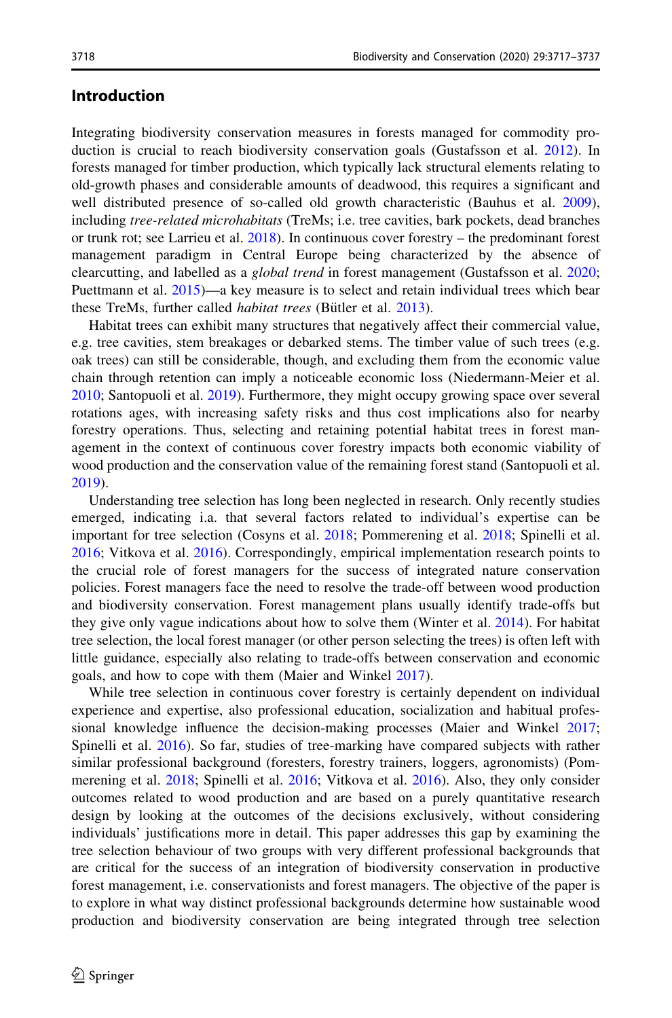### Introduction

Integrating biodiversity conservation measures in forests managed for commodity production is crucial to reach biodiversity conservation goals (Gustafsson et al. [2012](#page-19-0)). In forests managed for timber production, which typically lack structural elements relating to old-growth phases and considerable amounts of deadwood, this requires a significant and well distributed presence of so-called old growth characteristic (Bauhus et al. [2009](#page-18-0)), including *tree-related microhabitats* (TreMs; i.e. tree cavities, bark pockets, dead branches or trunk rot; see Larrieu et al. [2018\)](#page-19-0). In continuous cover forestry – the predominant forest management paradigm in Central Europe being characterized by the absence of clearcutting, and labelled as a *global trend* in forest management (Gustafsson et al. [2020;](#page-19-0) Puettmann et al. [2015](#page-19-0))—a key measure is to select and retain individual trees which bear these TreMs, further called *habitat trees* (Bütler et al. [2013](#page-18-0)).

Habitat trees can exhibit many structures that negatively affect their commercial value, e.g. tree cavities, stem breakages or debarked stems. The timber value of such trees (e.g. oak trees) can still be considerable, though, and excluding them from the economic value chain through retention can imply a noticeable economic loss (Niedermann-Meier et al. [2010;](#page-19-0) Santopuoli et al. [2019\)](#page-20-0). Furthermore, they might occupy growing space over several rotations ages, with increasing safety risks and thus cost implications also for nearby forestry operations. Thus, selecting and retaining potential habitat trees in forest management in the context of continuous cover forestry impacts both economic viability of wood production and the conservation value of the remaining forest stand (Santopuoli et al. [2019\)](#page-20-0).

Understanding tree selection has long been neglected in research. Only recently studies emerged, indicating i.a. that several factors related to individual's expertise can be important for tree selection (Cosyns et al. [2018](#page-19-0); Pommerening et al. [2018;](#page-19-0) Spinelli et al. [2016;](#page-20-0) Vitkova et al. [2016\)](#page-20-0). Correspondingly, empirical implementation research points to the crucial role of forest managers for the success of integrated nature conservation policies. Forest managers face the need to resolve the trade-off between wood production and biodiversity conservation. Forest management plans usually identify trade-offs but they give only vague indications about how to solve them (Winter et al. [2014\)](#page-20-0). For habitat tree selection, the local forest manager (or other person selecting the trees) is often left with little guidance, especially also relating to trade-offs between conservation and economic goals, and how to cope with them (Maier and Winkel [2017](#page-19-0)).

While tree selection in continuous cover forestry is certainly dependent on individual experience and expertise, also professional education, socialization and habitual professional knowledge influence the decision-making processes (Maier and Winkel [2017;](#page-19-0) Spinelli et al. [2016\)](#page-20-0). So far, studies of tree-marking have compared subjects with rather similar professional background (foresters, forestry trainers, loggers, agronomists) (Pommerening et al. [2018](#page-19-0); Spinelli et al. [2016;](#page-20-0) Vitkova et al. [2016\)](#page-20-0). Also, they only consider outcomes related to wood production and are based on a purely quantitative research design by looking at the outcomes of the decisions exclusively, without considering individuals' justifications more in detail. This paper addresses this gap by examining the tree selection behaviour of two groups with very different professional backgrounds that are critical for the success of an integration of biodiversity conservation in productive forest management, i.e. conservationists and forest managers. The objective of the paper is to explore in what way distinct professional backgrounds determine how sustainable wood production and biodiversity conservation are being integrated through tree selection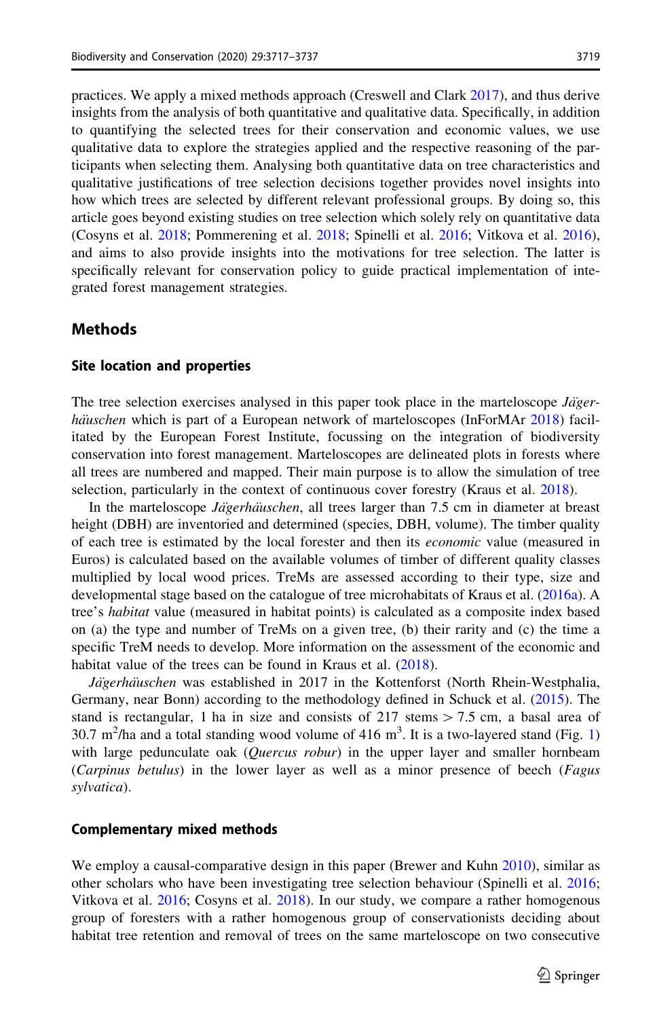practices. We apply a mixed methods approach (Creswell and Clark [2017\)](#page-19-0), and thus derive insights from the analysis of both quantitative and qualitative data. Specifically, in addition to quantifying the selected trees for their conservation and economic values, we use qualitative data to explore the strategies applied and the respective reasoning of the participants when selecting them. Analysing both quantitative data on tree characteristics and qualitative justifications of tree selection decisions together provides novel insights into how which trees are selected by different relevant professional groups. By doing so, this article goes beyond existing studies on tree selection which solely rely on quantitative data (Cosyns et al. [2018](#page-19-0); Pommerening et al. [2018](#page-19-0); Spinelli et al. [2016](#page-20-0); Vitkova et al. [2016](#page-20-0)), and aims to also provide insights into the motivations for tree selection. The latter is specifically relevant for conservation policy to guide practical implementation of integrated forest management strategies.

#### Methods

#### Site location and properties

The tree selection exercises analysed in this paper took place in the marteloscope  $J\ddot{a}ger$ -hauschen which is part of a European network of marteloscopes (InForMAr [2018](#page-19-0)) facilitated by the European Forest Institute, focussing on the integration of biodiversity conservation into forest management. Marteloscopes are delineated plots in forests where all trees are numbered and mapped. Their main purpose is to allow the simulation of tree selection, particularly in the context of continuous cover forestry (Kraus et al. [2018](#page-19-0)).

In the marteloscope *Jägerhäuschen*, all trees larger than 7.5 cm in diameter at breast height (DBH) are inventoried and determined (species, DBH, volume). The timber quality of each tree is estimated by the local forester and then its economic value (measured in Euros) is calculated based on the available volumes of timber of different quality classes multiplied by local wood prices. TreMs are assessed according to their type, size and developmental stage based on the catalogue of tree microhabitats of Kraus et al. ([2016a\)](#page-19-0). A tree's habitat value (measured in habitat points) is calculated as a composite index based on (a) the type and number of TreMs on a given tree, (b) their rarity and (c) the time a specific TreM needs to develop. More information on the assessment of the economic and habitat value of the trees can be found in Kraus et al. [\(2018](#page-19-0)).

Jägerhäuschen was established in 2017 in the Kottenforst (North Rhein-Westphalia, Germany, near Bonn) according to the methodology defined in Schuck et al. [\(2015](#page-20-0)). The stand is rectangular, 1 ha in size and consists of  $217$  stems  $> 7.5$  cm, a basal area of 30.7 m<sup>2</sup>/ha and a total standing wood volume of 4[1](#page-3-0)6 m<sup>3</sup>. It is a two-layered stand (Fig. 1) with large pedunculate oak  $(Quercus robust)$  in the upper layer and smaller hornbeam (Carpinus betulus) in the lower layer as well as a minor presence of beech (Fagus sylvatica).

#### Complementary mixed methods

We employ a causal-comparative design in this paper (Brewer and Kuhn [2010](#page-18-0)), similar as other scholars who have been investigating tree selection behaviour (Spinelli et al. [2016;](#page-20-0) Vitkova et al. [2016;](#page-20-0) Cosyns et al. [2018\)](#page-19-0). In our study, we compare a rather homogenous group of foresters with a rather homogenous group of conservationists deciding about habitat tree retention and removal of trees on the same marteloscope on two consecutive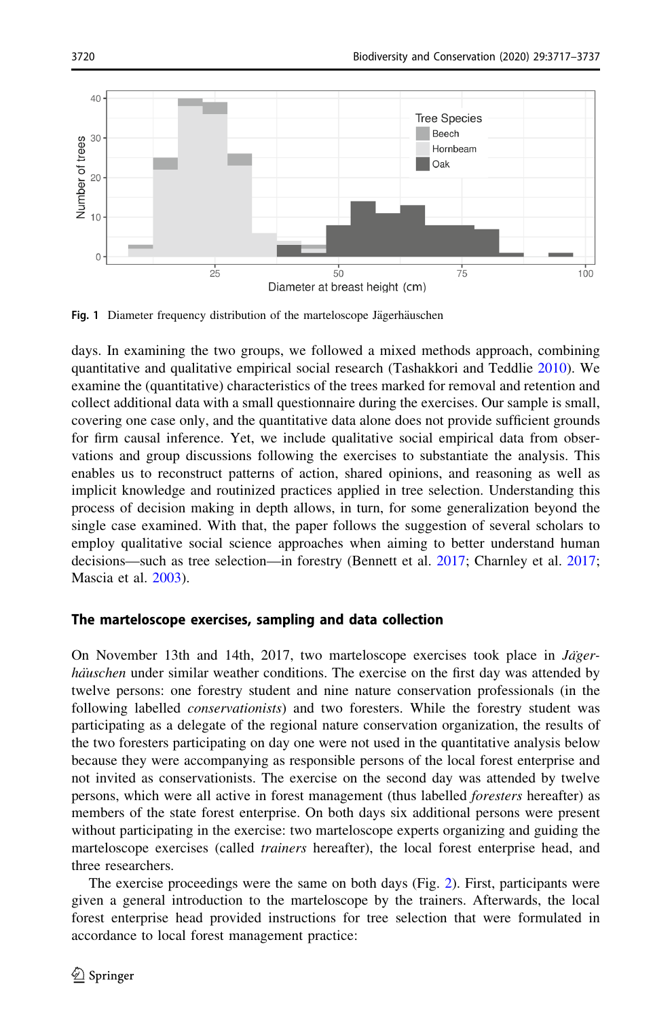<span id="page-3-0"></span>

Fig. 1 Diameter frequency distribution of the marteloscope Jägerhäuschen

days. In examining the two groups, we followed a mixed methods approach, combining quantitative and qualitative empirical social research (Tashakkori and Teddlie [2010\)](#page-20-0). We examine the (quantitative) characteristics of the trees marked for removal and retention and collect additional data with a small questionnaire during the exercises. Our sample is small, covering one case only, and the quantitative data alone does not provide sufficient grounds for firm causal inference. Yet, we include qualitative social empirical data from observations and group discussions following the exercises to substantiate the analysis. This enables us to reconstruct patterns of action, shared opinions, and reasoning as well as implicit knowledge and routinized practices applied in tree selection. Understanding this process of decision making in depth allows, in turn, for some generalization beyond the single case examined. With that, the paper follows the suggestion of several scholars to employ qualitative social science approaches when aiming to better understand human decisions—such as tree selection—in forestry (Bennett et al. [2017;](#page-18-0) Charnley et al. [2017;](#page-18-0) Mascia et al. [2003\)](#page-19-0).

### The marteloscope exercises, sampling and data collection

On November 13th and 14th, 2017, two marteloscope exercises took place in  $Jäger$ haüschen under similar weather conditions. The exercise on the first day was attended by twelve persons: one forestry student and nine nature conservation professionals (in the following labelled *conservationists*) and two foresters. While the forestry student was participating as a delegate of the regional nature conservation organization, the results of the two foresters participating on day one were not used in the quantitative analysis below because they were accompanying as responsible persons of the local forest enterprise and not invited as conservationists. The exercise on the second day was attended by twelve persons, which were all active in forest management (thus labelled foresters hereafter) as members of the state forest enterprise. On both days six additional persons were present without participating in the exercise: two marteloscope experts organizing and guiding the marteloscope exercises (called *trainers* hereafter), the local forest enterprise head, and three researchers.

The exercise proceedings were the same on both days (Fig. [2\)](#page-4-0). First, participants were given a general introduction to the marteloscope by the trainers. Afterwards, the local forest enterprise head provided instructions for tree selection that were formulated in accordance to local forest management practice: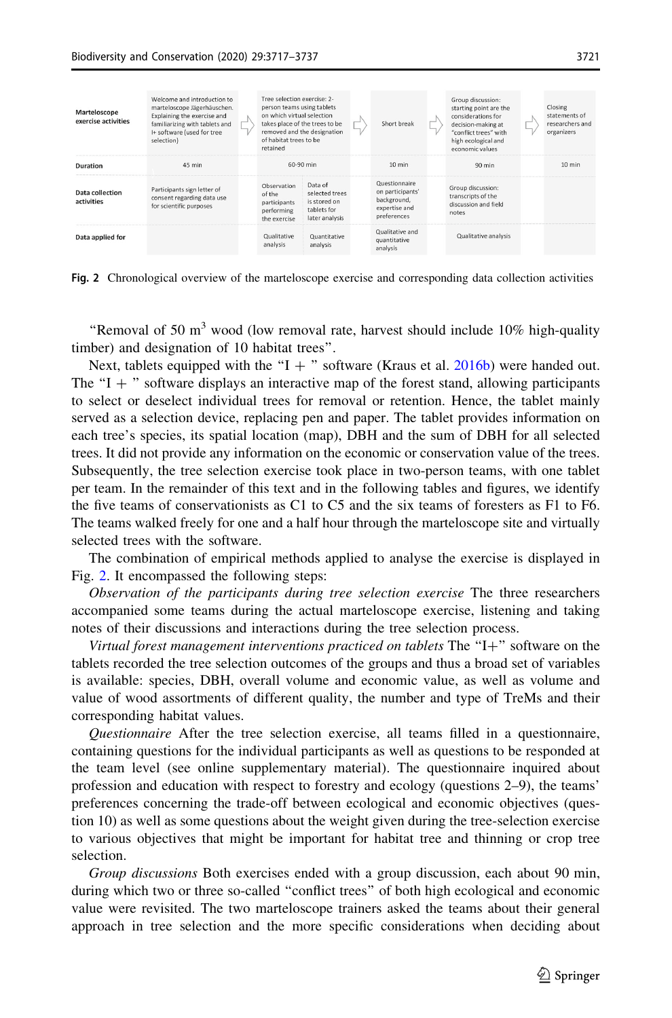<span id="page-4-0"></span>

| Marteloscope<br>exercise activities | Welcome and introduction to<br>marteloscope Jägerhäuschen.<br>Explaining the exercise and<br>familiarizing with tablets and<br>I+ software (used for tree<br>selection) | Tree selection exercise: 2-<br>person teams using tablets<br>on which virtual selection<br>takes place of the trees to be<br>removed and the designation<br>of habitat trees to be<br>retained |                                                                            | Short break                                                                      | Group discussion:<br>starting point are the<br>considerations for<br>decision-making at<br>"conflict trees" with<br>high ecological and<br>economic values | Closing<br>statements of<br>researchers and<br>organizers |
|-------------------------------------|-------------------------------------------------------------------------------------------------------------------------------------------------------------------------|------------------------------------------------------------------------------------------------------------------------------------------------------------------------------------------------|----------------------------------------------------------------------------|----------------------------------------------------------------------------------|------------------------------------------------------------------------------------------------------------------------------------------------------------|-----------------------------------------------------------|
| Duration                            | 45 min                                                                                                                                                                  | 60-90 min                                                                                                                                                                                      |                                                                            | $10 \text{ min}$                                                                 | $90$ min                                                                                                                                                   | $10 \text{ min}$                                          |
| Data collection<br>activities       | Participants sign letter of<br>consent regarding data use<br>for scientific purposes                                                                                    | Observation<br>of the<br>participants<br>performing<br>the exercise                                                                                                                            | Data of<br>selected trees<br>is stored on<br>tablets for<br>later analysis | Questionnaire<br>on participants'<br>background,<br>expertise and<br>preferences | Group discussion:<br>transcripts of the<br>discussion and field<br>notes                                                                                   |                                                           |
| Data applied for                    |                                                                                                                                                                         | Qualitative<br>analysis                                                                                                                                                                        | Quantitative<br>analysis                                                   | Qualitative and<br>quantitative<br>analysis                                      | Qualitative analysis                                                                                                                                       |                                                           |

Fig. 2 Chronological overview of the marteloscope exercise and corresponding data collection activities

"Removal of 50  $m<sup>3</sup>$  wood (low removal rate, harvest should include 10% high-quality timber) and designation of 10 habitat trees''.

Next, tablets equipped with the "I + " software (Kraus et al.  $2016b$ ) were handed out. The "I  $+$ " software displays an interactive map of the forest stand, allowing participants to select or deselect individual trees for removal or retention. Hence, the tablet mainly served as a selection device, replacing pen and paper. The tablet provides information on each tree's species, its spatial location (map), DBH and the sum of DBH for all selected trees. It did not provide any information on the economic or conservation value of the trees. Subsequently, the tree selection exercise took place in two-person teams, with one tablet per team. In the remainder of this text and in the following tables and figures, we identify the five teams of conservationists as C1 to C5 and the six teams of foresters as F1 to F6. The teams walked freely for one and a half hour through the marteloscope site and virtually selected trees with the software.

The combination of empirical methods applied to analyse the exercise is displayed in Fig. 2. It encompassed the following steps:

Observation of the participants during tree selection exercise The three researchers accompanied some teams during the actual marteloscope exercise, listening and taking notes of their discussions and interactions during the tree selection process.

Virtual forest management interventions practiced on tablets The  $H^+$  software on the tablets recorded the tree selection outcomes of the groups and thus a broad set of variables is available: species, DBH, overall volume and economic value, as well as volume and value of wood assortments of different quality, the number and type of TreMs and their corresponding habitat values.

Questionnaire After the tree selection exercise, all teams filled in a questionnaire, containing questions for the individual participants as well as questions to be responded at the team level (see online supplementary material). The questionnaire inquired about profession and education with respect to forestry and ecology (questions 2–9), the teams' preferences concerning the trade-off between ecological and economic objectives (question 10) as well as some questions about the weight given during the tree-selection exercise to various objectives that might be important for habitat tree and thinning or crop tree selection.

Group discussions Both exercises ended with a group discussion, each about 90 min, during which two or three so-called ''conflict trees'' of both high ecological and economic value were revisited. The two marteloscope trainers asked the teams about their general approach in tree selection and the more specific considerations when deciding about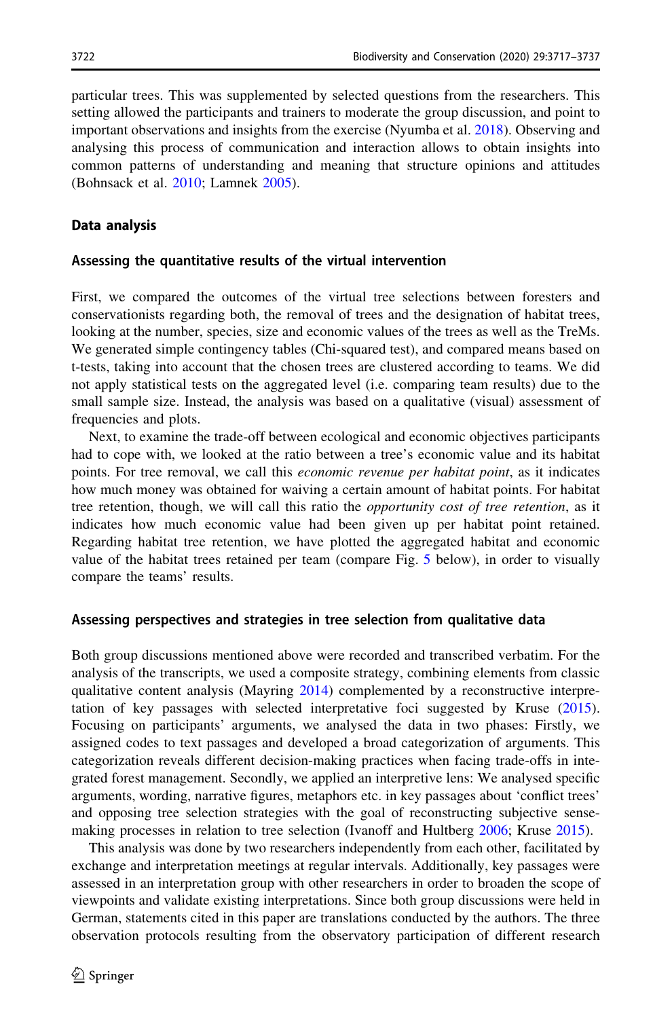particular trees. This was supplemented by selected questions from the researchers. This setting allowed the participants and trainers to moderate the group discussion, and point to important observations and insights from the exercise (Nyumba et al. [2018](#page-19-0)). Observing and analysing this process of communication and interaction allows to obtain insights into common patterns of understanding and meaning that structure opinions and attitudes (Bohnsack et al. [2010;](#page-18-0) Lamnek [2005\)](#page-19-0).

#### Data analysis

#### Assessing the quantitative results of the virtual intervention

First, we compared the outcomes of the virtual tree selections between foresters and conservationists regarding both, the removal of trees and the designation of habitat trees, looking at the number, species, size and economic values of the trees as well as the TreMs. We generated simple contingency tables (Chi-squared test), and compared means based on t-tests, taking into account that the chosen trees are clustered according to teams. We did not apply statistical tests on the aggregated level (i.e. comparing team results) due to the small sample size. Instead, the analysis was based on a qualitative (visual) assessment of frequencies and plots.

Next, to examine the trade-off between ecological and economic objectives participants had to cope with, we looked at the ratio between a tree's economic value and its habitat points. For tree removal, we call this *economic revenue per habitat point*, as it indicates how much money was obtained for waiving a certain amount of habitat points. For habitat tree retention, though, we will call this ratio the *opportunity cost of tree retention*, as it indicates how much economic value had been given up per habitat point retained. Regarding habitat tree retention, we have plotted the aggregated habitat and economic value of the habitat trees retained per team (compare Fig. [5](#page-9-0) below), in order to visually compare the teams' results.

#### Assessing perspectives and strategies in tree selection from qualitative data

Both group discussions mentioned above were recorded and transcribed verbatim. For the analysis of the transcripts, we used a composite strategy, combining elements from classic qualitative content analysis (Mayring [2014\)](#page-19-0) complemented by a reconstructive interpretation of key passages with selected interpretative foci suggested by Kruse [\(2015](#page-19-0)). Focusing on participants' arguments, we analysed the data in two phases: Firstly, we assigned codes to text passages and developed a broad categorization of arguments. This categorization reveals different decision-making practices when facing trade-offs in integrated forest management. Secondly, we applied an interpretive lens: We analysed specific arguments, wording, narrative figures, metaphors etc. in key passages about 'conflict trees' and opposing tree selection strategies with the goal of reconstructing subjective sensemaking processes in relation to tree selection (Ivanoff and Hultberg [2006](#page-19-0); Kruse [2015\)](#page-19-0).

This analysis was done by two researchers independently from each other, facilitated by exchange and interpretation meetings at regular intervals. Additionally, key passages were assessed in an interpretation group with other researchers in order to broaden the scope of viewpoints and validate existing interpretations. Since both group discussions were held in German, statements cited in this paper are translations conducted by the authors. The three observation protocols resulting from the observatory participation of different research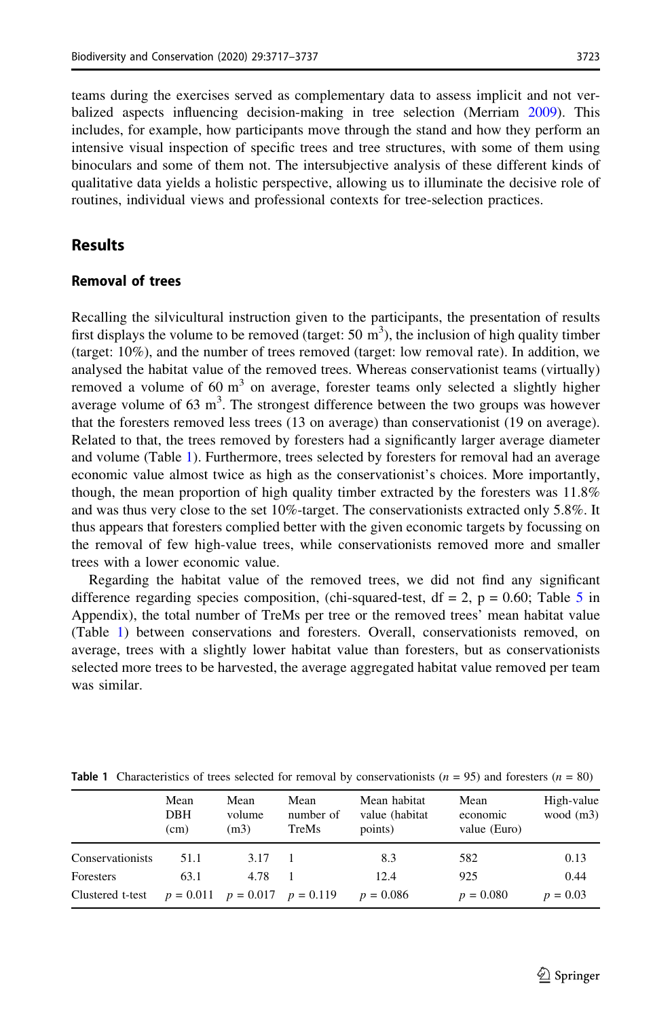teams during the exercises served as complementary data to assess implicit and not verbalized aspects influencing decision-making in tree selection (Merriam [2009](#page-19-0)). This includes, for example, how participants move through the stand and how they perform an intensive visual inspection of specific trees and tree structures, with some of them using binoculars and some of them not. The intersubjective analysis of these different kinds of qualitative data yields a holistic perspective, allowing us to illuminate the decisive role of routines, individual views and professional contexts for tree-selection practices.

### Results

#### Removal of trees

Recalling the silvicultural instruction given to the participants, the presentation of results first displays the volume to be removed (target: 50  $m<sup>3</sup>$ ), the inclusion of high quality timber (target: 10%), and the number of trees removed (target: low removal rate). In addition, we analysed the habitat value of the removed trees. Whereas conservationist teams (virtually) removed a volume of 60  $m<sup>3</sup>$  on average, forester teams only selected a slightly higher average volume of  $63 \text{ m}^3$ . The strongest difference between the two groups was however that the foresters removed less trees (13 on average) than conservationist (19 on average). Related to that, the trees removed by foresters had a significantly larger average diameter and volume (Table 1). Furthermore, trees selected by foresters for removal had an average economic value almost twice as high as the conservationist's choices. More importantly, though, the mean proportion of high quality timber extracted by the foresters was 11.8% and was thus very close to the set 10%-target. The conservationists extracted only 5.8%. It thus appears that foresters complied better with the given economic targets by focussing on the removal of few high-value trees, while conservationists removed more and smaller trees with a lower economic value.

Regarding the habitat value of the removed trees, we did not find any significant difference regarding species composition, (chi-squared-test,  $df = 2$ ,  $p = 0.60$ ; Table [5](#page-17-0) in Appendix), the total number of TreMs per tree or the removed trees' mean habitat value (Table 1) between conservations and foresters. Overall, conservationists removed, on average, trees with a slightly lower habitat value than foresters, but as conservationists selected more trees to be harvested, the average aggregated habitat value removed per team was similar.

|                  | Mean<br>DBH<br>(cm) | Mean<br>volume<br>(m3)              | Mean<br>number of<br>TreMs | Mean habitat<br>value (habitat<br>points) | Mean<br>economic<br>value (Euro) | High-value<br>wood $(m3)$ |
|------------------|---------------------|-------------------------------------|----------------------------|-------------------------------------------|----------------------------------|---------------------------|
| Conservationists | 51.1                | 3.17                                |                            | 8.3                                       | 582                              | 0.13                      |
| Foresters        | 63.1                | 4.78                                |                            | 12.4                                      | 925                              | 0.44                      |
| Clustered t-test |                     | $p = 0.011$ $p = 0.017$ $p = 0.119$ |                            | $p = 0.086$                               | $p = 0.080$                      | $p = 0.03$                |

**Table 1** Characteristics of trees selected for removal by conservationists ( $n = 95$ ) and foresters ( $n = 80$ )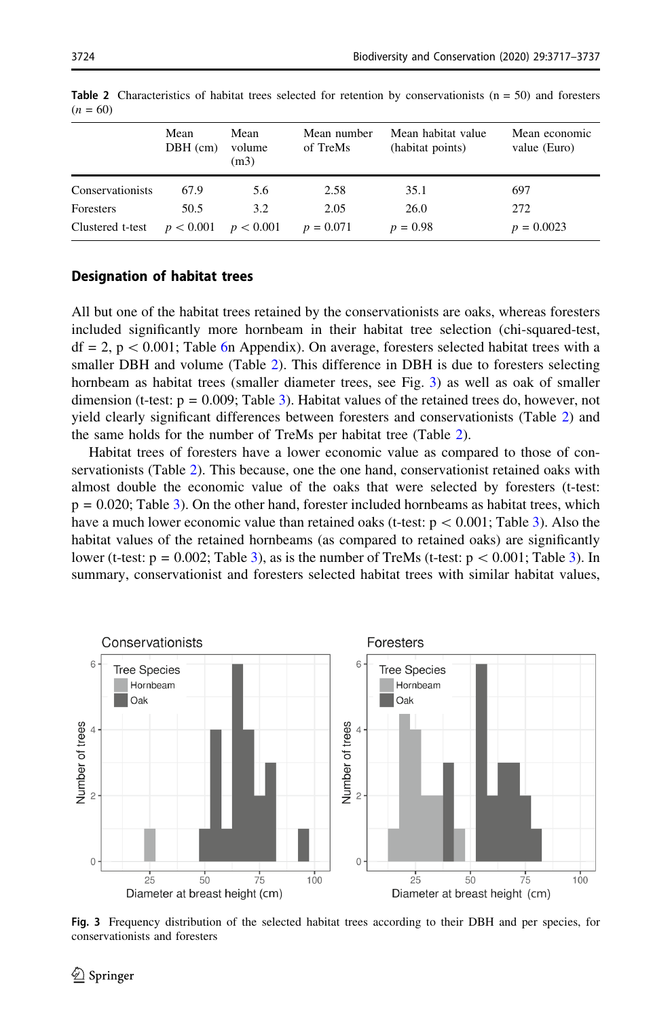|                  | Mean<br>$DBH$ (cm)      | Mean<br>volume<br>(m3) | Mean number<br>of TreMs | Mean habitat value<br>(habitat points) | Mean economic<br>value (Euro) |
|------------------|-------------------------|------------------------|-------------------------|----------------------------------------|-------------------------------|
| Conservationists | 67.9                    | 5.6                    | 2.58                    | 35.1                                   | 697                           |
| Foresters        | 50.5                    | 3.2                    | 2.05                    | 26.0                                   | 272                           |
| Clustered t-test | $p < 0.001$ $p < 0.001$ |                        | $p = 0.071$             | $p = 0.98$                             | $p = 0.0023$                  |

<span id="page-7-0"></span>**Table 2** Characteristics of habitat trees selected for retention by conservationists  $(n = 50)$  and foresters  $(n = 60)$ 

### Designation of habitat trees

All but one of the habitat trees retained by the conservationists are oaks, whereas foresters included significantly more hornbeam in their habitat tree selection (chi-squared-test,  $df = 2$ ,  $p < 0.001$ ; Table [6](#page-18-0)n Appendix). On average, foresters selected habitat trees with a smaller DBH and volume (Table 2). This difference in DBH is due to foresters selecting hornbeam as habitat trees (smaller diameter trees, see Fig. 3) as well as oak of smaller dimension (t-test:  $p = 0.009$ ; Table [3](#page-8-0)). Habitat values of the retained trees do, however, not yield clearly significant differences between foresters and conservationists (Table 2) and the same holds for the number of TreMs per habitat tree (Table 2).

Habitat trees of foresters have a lower economic value as compared to those of conservationists (Table 2). This because, one the one hand, conservationist retained oaks with almost double the economic value of the oaks that were selected by foresters (t-test:  $p = 0.020$ ; Table [3](#page-8-0)). On the other hand, forester included hornbeams as habitat trees, which have a much lower economic value than retained oaks (t-test:  $p < 0.001$ ; Table [3](#page-8-0)). Also the habitat values of the retained hornbeams (as compared to retained oaks) are significantly lower (t-test:  $p = 0.002$ ; Table [3\)](#page-8-0), as is the number of TreMs (t-test:  $p \lt 0.001$ ; Table 3). In summary, conservationist and foresters selected habitat trees with similar habitat values,



Fig. 3 Frequency distribution of the selected habitat trees according to their DBH and per species, for conservationists and foresters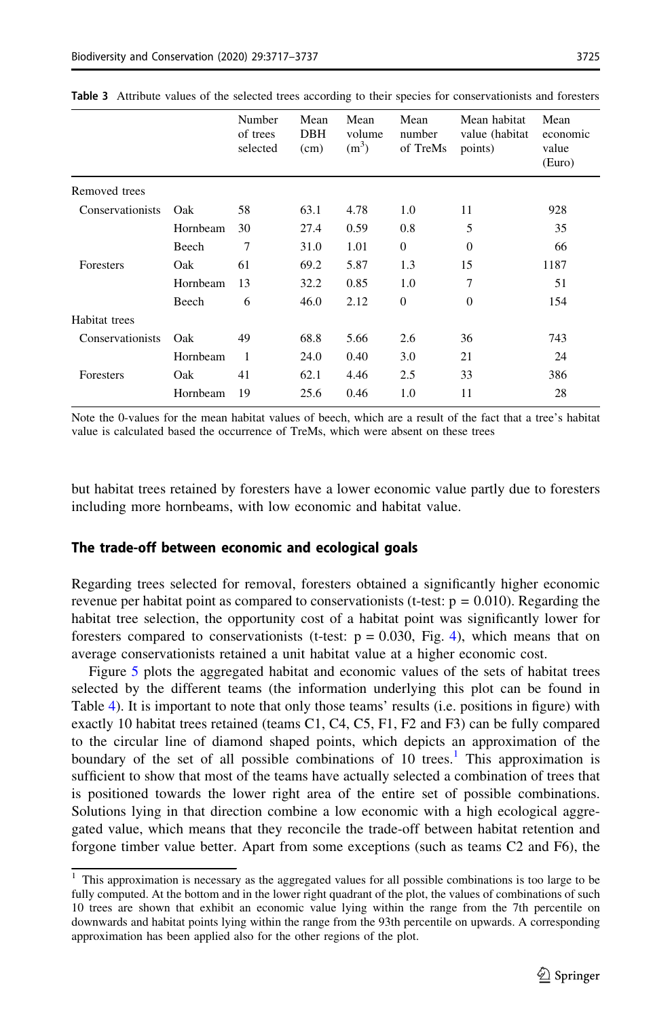|                  |          | Number<br>of trees<br>selected | Mean<br><b>DBH</b><br>(cm) | Mean<br>volume<br>(m <sup>3</sup> ) | Mean<br>number<br>of TreMs | Mean habitat<br>value (habitat<br>points) | Mean<br>economic<br>value<br>(Euro) |
|------------------|----------|--------------------------------|----------------------------|-------------------------------------|----------------------------|-------------------------------------------|-------------------------------------|
| Removed trees    |          |                                |                            |                                     |                            |                                           |                                     |
| Conservationists | Oak      | 58                             | 63.1                       | 4.78                                | 1.0                        | 11                                        | 928                                 |
|                  | Hornbeam | 30                             | 27.4                       | 0.59                                | 0.8                        | 5                                         | 35                                  |
|                  | Beech    | 7                              | 31.0                       | 1.01                                | $\theta$                   | $\theta$                                  | 66                                  |
| <b>Foresters</b> | Oak      | 61                             | 69.2                       | 5.87                                | 1.3                        | 15                                        | 1187                                |
|                  | Hornbeam | 13                             | 32.2                       | 0.85                                | 1.0                        | 7                                         | 51                                  |
|                  | Beech    | 6                              | 46.0                       | 2.12                                | $\theta$                   | $\theta$                                  | 154                                 |
| Habitat trees    |          |                                |                            |                                     |                            |                                           |                                     |
| Conservationists | Oak      | 49                             | 68.8                       | 5.66                                | 2.6                        | 36                                        | 743                                 |
|                  | Hornbeam | 1                              | 24.0                       | 0.40                                | 3.0                        | 21                                        | 24                                  |
| Foresters        | Oak      | 41                             | 62.1                       | 4.46                                | 2.5                        | 33                                        | 386                                 |
|                  | Hornbeam | 19                             | 25.6                       | 0.46                                | 1.0                        | 11                                        | 28                                  |

<span id="page-8-0"></span>Table 3 Attribute values of the selected trees according to their species for conservationists and foresters

Note the 0-values for the mean habitat values of beech, which are a result of the fact that a tree's habitat value is calculated based the occurrence of TreMs, which were absent on these trees

but habitat trees retained by foresters have a lower economic value partly due to foresters including more hornbeams, with low economic and habitat value.

#### The trade-off between economic and ecological goals

Regarding trees selected for removal, foresters obtained a significantly higher economic revenue per habitat point as compared to conservationists (t-test:  $p = 0.010$ ). Regarding the habitat tree selection, the opportunity cost of a habitat point was significantly lower for foresters compared to conservationists (t-test:  $p = 0.030$ , Fig. [4\)](#page-9-0), which means that on average conservationists retained a unit habitat value at a higher economic cost.

Figure [5](#page-9-0) plots the aggregated habitat and economic values of the sets of habitat trees selected by the different teams (the information underlying this plot can be found in Table [4\)](#page-10-0). It is important to note that only those teams' results (i.e. positions in figure) with exactly 10 habitat trees retained (teams C1, C4, C5, F1, F2 and F3) can be fully compared to the circular line of diamond shaped points, which depicts an approximation of the boundary of the set of all possible combinations of 10 trees.<sup>1</sup> This approximation is sufficient to show that most of the teams have actually selected a combination of trees that is positioned towards the lower right area of the entire set of possible combinations. Solutions lying in that direction combine a low economic with a high ecological aggregated value, which means that they reconcile the trade-off between habitat retention and forgone timber value better. Apart from some exceptions (such as teams C2 and F6), the

<sup>&</sup>lt;sup>1</sup> This approximation is necessary as the aggregated values for all possible combinations is too large to be fully computed. At the bottom and in the lower right quadrant of the plot, the values of combinations of such 10 trees are shown that exhibit an economic value lying within the range from the 7th percentile on downwards and habitat points lying within the range from the 93th percentile on upwards. A corresponding approximation has been applied also for the other regions of the plot.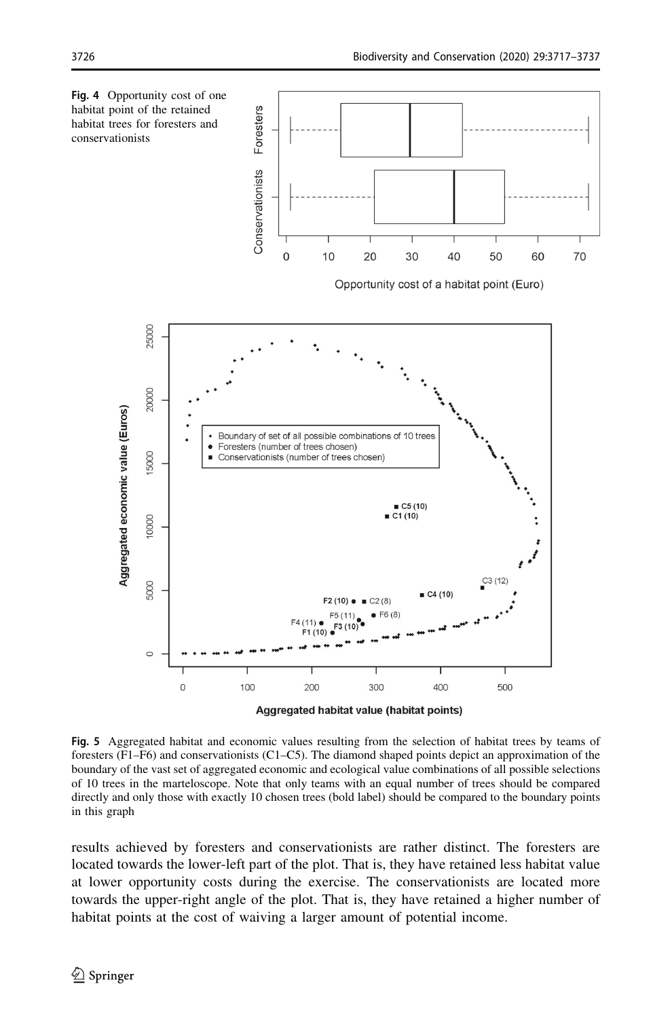<span id="page-9-0"></span>

Fig. 5 Aggregated habitat and economic values resulting from the selection of habitat trees by teams of foresters (F1–F6) and conservationists (C1–C5). The diamond shaped points depict an approximation of the boundary of the vast set of aggregated economic and ecological value combinations of all possible selections of 10 trees in the marteloscope. Note that only teams with an equal number of trees should be compared directly and only those with exactly 10 chosen trees (bold label) should be compared to the boundary points in this graph

results achieved by foresters and conservationists are rather distinct. The foresters are located towards the lower-left part of the plot. That is, they have retained less habitat value at lower opportunity costs during the exercise. The conservationists are located more towards the upper-right angle of the plot. That is, they have retained a higher number of habitat points at the cost of waiving a larger amount of potential income.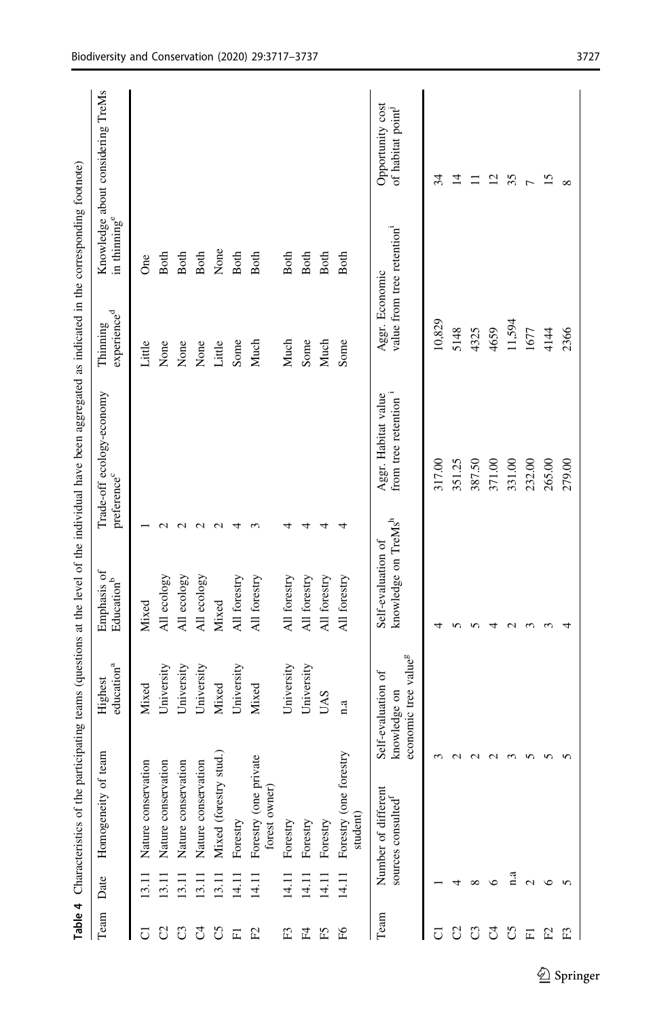<span id="page-10-0"></span>

|                |                   |                                          |                                                                        |                                                       | Table 4 Characteristics of the participating teams (questions at the level of the individual have been aggregated as indicated in the corresponding footnote) |                                    |                           |                                                   |
|----------------|-------------------|------------------------------------------|------------------------------------------------------------------------|-------------------------------------------------------|---------------------------------------------------------------------------------------------------------------------------------------------------------------|------------------------------------|---------------------------|---------------------------------------------------|
| Team           | Date              | Homogeneity of                           | education <sup>a</sup><br>Highest<br>team                              | Emphasis of<br>Education <sup>b</sup>                 | Trade-off ecology-economy<br>preference <sup>c</sup>                                                                                                          | experience <sup>d</sup><br>Thiming | in thinning <sup>e</sup>  | Knowledge about considering TreMs                 |
| ن              |                   | $\overline{5}$<br>Nature conservati      | Mixed                                                                  | Mixed                                                 |                                                                                                                                                               | Little                             | $\mathcal{S}^{\text{ce}}$ |                                                   |
| S              | $\Xi$             | Nature conservation                      | University                                                             | All ecology                                           | $\sim$                                                                                                                                                        | None                               | Both                      |                                                   |
| ටී             | $\frac{13.11}{2}$ | Nature conservation                      | University                                                             | All ecology                                           | $\sim$                                                                                                                                                        | None                               | Both                      |                                                   |
| J              | 13.11             | Nature conservation                      | University                                                             | All ecology                                           |                                                                                                                                                               | None                               | Both                      |                                                   |
| යි             | 13.11             | Mixed (forestry stud.)                   | Mixed                                                                  | Mixed                                                 |                                                                                                                                                               | Little                             | None                      |                                                   |
| 囸              | 14.11             | Forestry                                 | University                                                             | All forestry                                          |                                                                                                                                                               | Some                               | Both                      |                                                   |
| E              | 14.11             | Forestry (one private<br>forest owner)   | Mixed                                                                  | All forestry                                          |                                                                                                                                                               | Much                               | Both                      |                                                   |
| E <sub>3</sub> | 14.11             | Forestry                                 | University                                                             | All forestry                                          |                                                                                                                                                               | Much                               | Both                      |                                                   |
| F4             | 14.11             | Forestry                                 | University                                                             | All forestry                                          |                                                                                                                                                               | Some                               | Both                      |                                                   |
| Е5             | 14.11             | Forestry                                 | <b>UAS</b>                                                             | All forestry                                          |                                                                                                                                                               | Much                               | Both                      |                                                   |
| $_{\rm H}$     | 14.11             | Forestry (one forestry<br>student)       | n.a                                                                    | All forestry                                          |                                                                                                                                                               | Some                               | Both                      |                                                   |
| Team           |                   | Number of different<br>sources consulted | economic tree value <sup>g</sup><br>Self-evaluation of<br>knowledge on | knowledge on TreMs <sup>h</sup><br>Self-evaluation of | Aggr. Habitat value<br>from tree retention                                                                                                                    | Aggr. Economic                     | value from tree retention | Opportunity cost<br>of habitat point <sup>1</sup> |
| ن              |                   |                                          | 3                                                                      |                                                       | 317.00                                                                                                                                                        | 10,829                             |                           | 34                                                |
| S              |                   |                                          | $\sim$                                                                 |                                                       | 351.25                                                                                                                                                        | 5148                               |                           | $\overline{1}$                                    |
| ටී             | $\infty$          |                                          | $\sim$                                                                 |                                                       | 387.50                                                                                                                                                        | 4325                               |                           | ニ                                                 |
| 5              | ╰                 |                                          | $\sim$                                                                 | ↤                                                     | 371.00                                                                                                                                                        | 4659                               |                           | 12                                                |
| 5              | a                 |                                          | $\sim$                                                                 | $\mathbf{\sim}$                                       | 331.00                                                                                                                                                        | 11,594                             |                           | 35                                                |
| 匸              | $\mathbf 2$       |                                          | n                                                                      | $\sim$                                                | 232.00                                                                                                                                                        | 1677                               | $\overline{ }$            |                                                   |
| E              | ७                 |                                          | n                                                                      |                                                       | 265.00                                                                                                                                                        | 4144                               |                           | 15                                                |
| E              | $\sqrt{2}$        |                                          | 5                                                                      | 4                                                     | 279.00                                                                                                                                                        | 2366                               | $\infty$                  |                                                   |
|                |                   |                                          |                                                                        |                                                       |                                                                                                                                                               |                                    |                           |                                                   |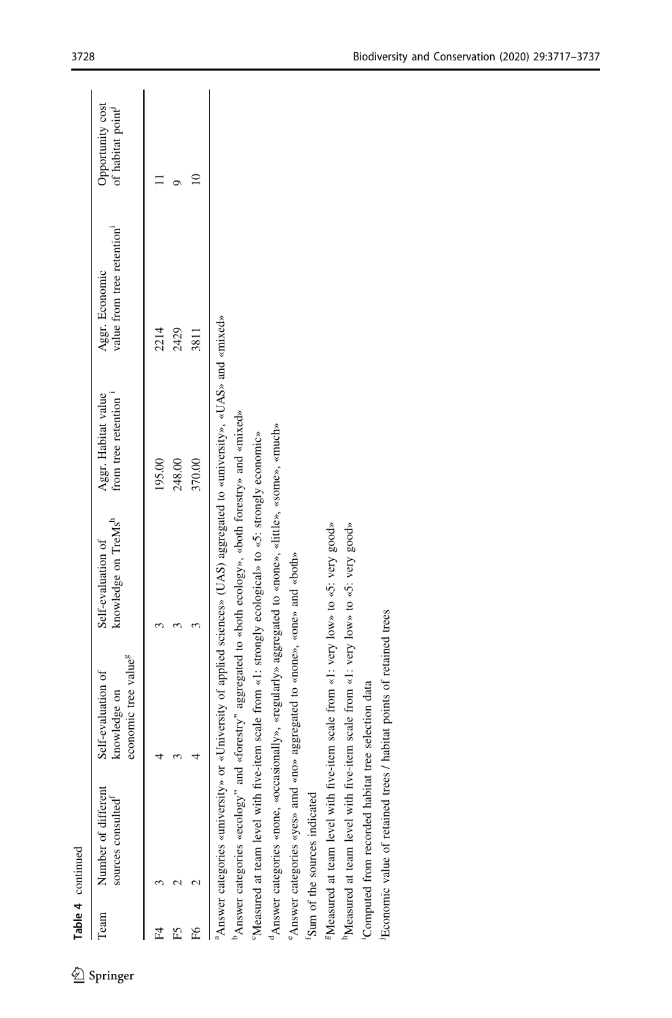|      | Table 4 continued                                     |                                                                                               |                                                                                                                                     |                                                         |                                                          |                                      |
|------|-------------------------------------------------------|-----------------------------------------------------------------------------------------------|-------------------------------------------------------------------------------------------------------------------------------------|---------------------------------------------------------|----------------------------------------------------------|--------------------------------------|
| Team | Number of different<br>sources consulted <sup>®</sup> | economic tree value <sup>g</sup><br>Self-evaluation of<br>knowledge on                        | knowledge on TreMs <sup>h</sup><br>Self-evaluation of                                                                               | from tree retention <sup>1</sup><br>Aggr. Habitat value | value from tree retention <sup>1</sup><br>Aggr. Economic | Opportunity cost<br>of habitat point |
| £    |                                                       |                                                                                               | 3<br>3                                                                                                                              | 248.00<br>370.00<br>195.00                              | 2214<br>2429<br>3811                                     | $\supseteq$<br>Ó                     |
|      |                                                       |                                                                                               |                                                                                                                                     |                                                         |                                                          |                                      |
|      |                                                       |                                                                                               | <sup>a</sup> Answer categories «university» or «University of applied sciences» (UAS) aggregated to «university», «UAS» and «mixed» |                                                         |                                                          |                                      |
|      | "Answer categories «ecology" and                      |                                                                                               | «forestry" aggregated to «both ecology», «both forestry» and «mixed»                                                                |                                                         |                                                          |                                      |
|      |                                                       |                                                                                               | 'Measured at team level with five-item scale from «1: strongly ecological» to «5: strongly economic»                                |                                                         |                                                          |                                      |
|      |                                                       |                                                                                               | "Answer categories «none, «occasionally», «regularly» aggregated to «none», «litle», «some», «much»                                 |                                                         |                                                          |                                      |
|      |                                                       | "Answer categories «yes» amd «no» aggregated to «none», «one» and «both»                      |                                                                                                                                     |                                                         |                                                          |                                      |
|      | 'Sum of the sources indicated                         |                                                                                               |                                                                                                                                     |                                                         |                                                          |                                      |
|      |                                                       | <sup>8</sup> Measured at team level with five-item scale from «1: very low» to «5: very good» |                                                                                                                                     |                                                         |                                                          |                                      |
|      |                                                       | "Measured at team level with five-item scale from «1: very low» to «5: very good»             |                                                                                                                                     |                                                         |                                                          |                                      |
|      | 'Computed from recorded habitat tree selection data   |                                                                                               |                                                                                                                                     |                                                         |                                                          |                                      |
|      | <sup>J</sup> Economic value of retained trees         | / habitat points of retained trees                                                            |                                                                                                                                     |                                                         |                                                          |                                      |
|      |                                                       |                                                                                               |                                                                                                                                     |                                                         |                                                          |                                      |
|      |                                                       |                                                                                               |                                                                                                                                     |                                                         |                                                          |                                      |
|      |                                                       |                                                                                               |                                                                                                                                     |                                                         |                                                          |                                      |
|      |                                                       |                                                                                               |                                                                                                                                     |                                                         |                                                          |                                      |
|      |                                                       |                                                                                               |                                                                                                                                     |                                                         |                                                          |                                      |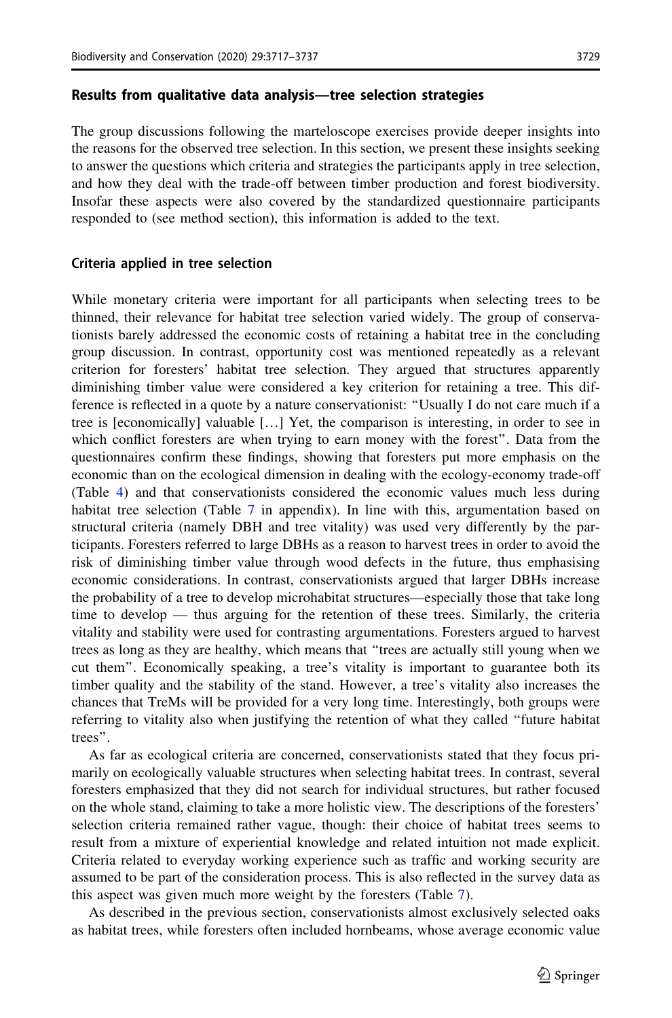#### Results from qualitative data analysis—tree selection strategies

The group discussions following the marteloscope exercises provide deeper insights into the reasons for the observed tree selection. In this section, we present these insights seeking to answer the questions which criteria and strategies the participants apply in tree selection, and how they deal with the trade-off between timber production and forest biodiversity. Insofar these aspects were also covered by the standardized questionnaire participants responded to (see method section), this information is added to the text.

#### Criteria applied in tree selection

While monetary criteria were important for all participants when selecting trees to be thinned, their relevance for habitat tree selection varied widely. The group of conservationists barely addressed the economic costs of retaining a habitat tree in the concluding group discussion. In contrast, opportunity cost was mentioned repeatedly as a relevant criterion for foresters' habitat tree selection. They argued that structures apparently diminishing timber value were considered a key criterion for retaining a tree. This difference is reflected in a quote by a nature conservationist: ''Usually I do not care much if a tree is [economically] valuable […] Yet, the comparison is interesting, in order to see in which conflict foresters are when trying to earn money with the forest''. Data from the questionnaires confirm these findings, showing that foresters put more emphasis on the economic than on the ecological dimension in dealing with the ecology-economy trade-off (Table [4\)](#page-10-0) and that conservationists considered the economic values much less during habitat tree selection (Table  $7$  in appendix). In line with this, argumentation based on structural criteria (namely DBH and tree vitality) was used very differently by the participants. Foresters referred to large DBHs as a reason to harvest trees in order to avoid the risk of diminishing timber value through wood defects in the future, thus emphasising economic considerations. In contrast, conservationists argued that larger DBHs increase the probability of a tree to develop microhabitat structures—especially those that take long time to develop — thus arguing for the retention of these trees. Similarly, the criteria vitality and stability were used for contrasting argumentations. Foresters argued to harvest trees as long as they are healthy, which means that ''trees are actually still young when we cut them''. Economically speaking, a tree's vitality is important to guarantee both its timber quality and the stability of the stand. However, a tree's vitality also increases the chances that TreMs will be provided for a very long time. Interestingly, both groups were referring to vitality also when justifying the retention of what they called ''future habitat trees''.

As far as ecological criteria are concerned, conservationists stated that they focus primarily on ecologically valuable structures when selecting habitat trees. In contrast, several foresters emphasized that they did not search for individual structures, but rather focused on the whole stand, claiming to take a more holistic view. The descriptions of the foresters' selection criteria remained rather vague, though: their choice of habitat trees seems to result from a mixture of experiential knowledge and related intuition not made explicit. Criteria related to everyday working experience such as traffic and working security are assumed to be part of the consideration process. This is also reflected in the survey data as this aspect was given much more weight by the foresters (Table [7](#page-18-0)).

As described in the previous section, conservationists almost exclusively selected oaks as habitat trees, while foresters often included hornbeams, whose average economic value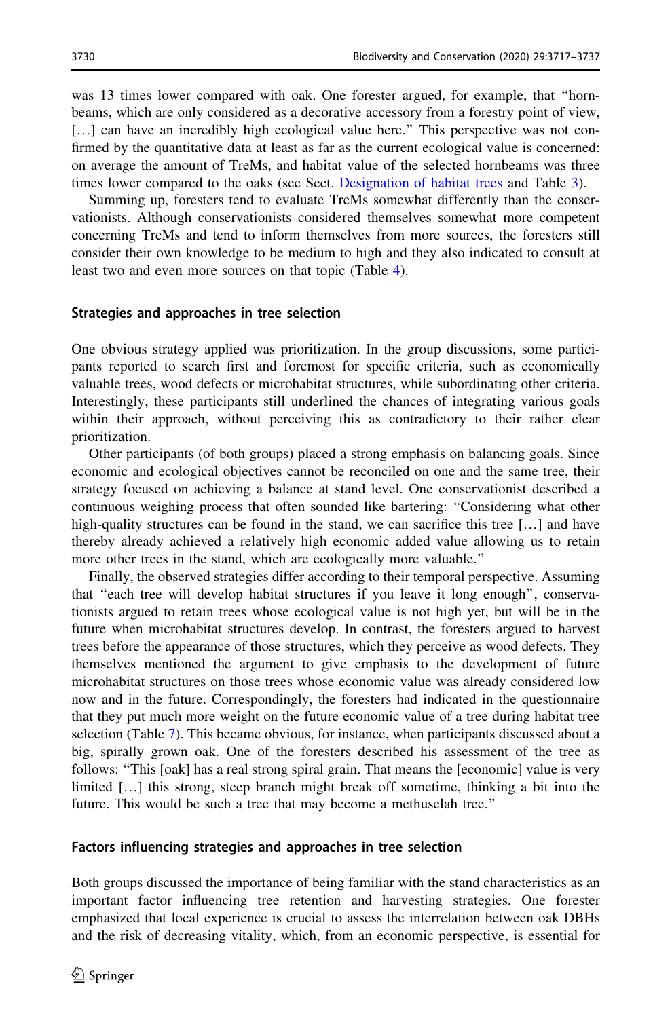was 13 times lower compared with oak. One forester argued, for example, that ''hornbeams, which are only considered as a decorative accessory from a forestry point of view, [...] can have an incredibly high ecological value here." This perspective was not confirmed by the quantitative data at least as far as the current ecological value is concerned: on average the amount of TreMs, and habitat value of the selected hornbeams was three times lower compared to the oaks (see Sect. [Designation of habitat trees](#page-7-0) and Table [3\)](#page-8-0).

Summing up, foresters tend to evaluate TreMs somewhat differently than the conservationists. Although conservationists considered themselves somewhat more competent concerning TreMs and tend to inform themselves from more sources, the foresters still consider their own knowledge to be medium to high and they also indicated to consult at least two and even more sources on that topic (Table [4\)](#page-10-0).

#### Strategies and approaches in tree selection

One obvious strategy applied was prioritization. In the group discussions, some participants reported to search first and foremost for specific criteria, such as economically valuable trees, wood defects or microhabitat structures, while subordinating other criteria. Interestingly, these participants still underlined the chances of integrating various goals within their approach, without perceiving this as contradictory to their rather clear prioritization.

Other participants (of both groups) placed a strong emphasis on balancing goals. Since economic and ecological objectives cannot be reconciled on one and the same tree, their strategy focused on achieving a balance at stand level. One conservationist described a continuous weighing process that often sounded like bartering: ''Considering what other high-quality structures can be found in the stand, we can sacrifice this tree [...] and have thereby already achieved a relatively high economic added value allowing us to retain more other trees in the stand, which are ecologically more valuable.''

Finally, the observed strategies differ according to their temporal perspective. Assuming that ''each tree will develop habitat structures if you leave it long enough'', conservationists argued to retain trees whose ecological value is not high yet, but will be in the future when microhabitat structures develop. In contrast, the foresters argued to harvest trees before the appearance of those structures, which they perceive as wood defects. They themselves mentioned the argument to give emphasis to the development of future microhabitat structures on those trees whose economic value was already considered low now and in the future. Correspondingly, the foresters had indicated in the questionnaire that they put much more weight on the future economic value of a tree during habitat tree selection (Table [7\)](#page-18-0). This became obvious, for instance, when participants discussed about a big, spirally grown oak. One of the foresters described his assessment of the tree as follows: "This [oak] has a real strong spiral grain. That means the [economic] value is very limited […] this strong, steep branch might break off sometime, thinking a bit into the future. This would be such a tree that may become a methuselah tree.''

#### Factors influencing strategies and approaches in tree selection

Both groups discussed the importance of being familiar with the stand characteristics as an important factor influencing tree retention and harvesting strategies. One forester emphasized that local experience is crucial to assess the interrelation between oak DBHs and the risk of decreasing vitality, which, from an economic perspective, is essential for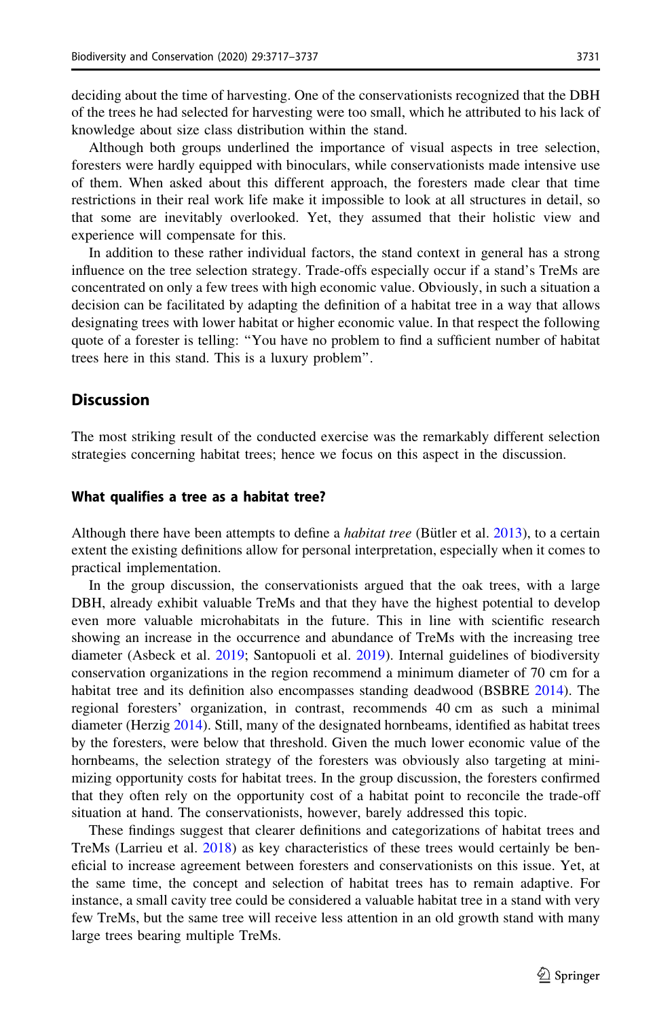deciding about the time of harvesting. One of the conservationists recognized that the DBH of the trees he had selected for harvesting were too small, which he attributed to his lack of knowledge about size class distribution within the stand.

Although both groups underlined the importance of visual aspects in tree selection, foresters were hardly equipped with binoculars, while conservationists made intensive use of them. When asked about this different approach, the foresters made clear that time restrictions in their real work life make it impossible to look at all structures in detail, so that some are inevitably overlooked. Yet, they assumed that their holistic view and experience will compensate for this.

In addition to these rather individual factors, the stand context in general has a strong influence on the tree selection strategy. Trade-offs especially occur if a stand's TreMs are concentrated on only a few trees with high economic value. Obviously, in such a situation a decision can be facilitated by adapting the definition of a habitat tree in a way that allows designating trees with lower habitat or higher economic value. In that respect the following quote of a forester is telling: ''You have no problem to find a sufficient number of habitat trees here in this stand. This is a luxury problem''.

### Discussion

The most striking result of the conducted exercise was the remarkably different selection strategies concerning habitat trees; hence we focus on this aspect in the discussion.

#### What qualifies a tree as a habitat tree?

Although there have been attempts to define a *habitat tree* (Bütler et al.  $2013$ ), to a certain extent the existing definitions allow for personal interpretation, especially when it comes to practical implementation.

In the group discussion, the conservationists argued that the oak trees, with a large DBH, already exhibit valuable TreMs and that they have the highest potential to develop even more valuable microhabitats in the future. This in line with scientific research showing an increase in the occurrence and abundance of TreMs with the increasing tree diameter (Asbeck et al. [2019;](#page-18-0) Santopuoli et al. [2019](#page-20-0)). Internal guidelines of biodiversity conservation organizations in the region recommend a minimum diameter of 70 cm for a habitat tree and its definition also encompasses standing deadwood (BSBRE [2014\)](#page-18-0). The regional foresters' organization, in contrast, recommends 40 cm as such a minimal diameter (Herzig [2014\)](#page-19-0). Still, many of the designated hornbeams, identified as habitat trees by the foresters, were below that threshold. Given the much lower economic value of the hornbeams, the selection strategy of the foresters was obviously also targeting at minimizing opportunity costs for habitat trees. In the group discussion, the foresters confirmed that they often rely on the opportunity cost of a habitat point to reconcile the trade-off situation at hand. The conservationists, however, barely addressed this topic.

These findings suggest that clearer definitions and categorizations of habitat trees and TreMs (Larrieu et al. [2018\)](#page-19-0) as key characteristics of these trees would certainly be beneficial to increase agreement between foresters and conservationists on this issue. Yet, at the same time, the concept and selection of habitat trees has to remain adaptive. For instance, a small cavity tree could be considered a valuable habitat tree in a stand with very few TreMs, but the same tree will receive less attention in an old growth stand with many large trees bearing multiple TreMs.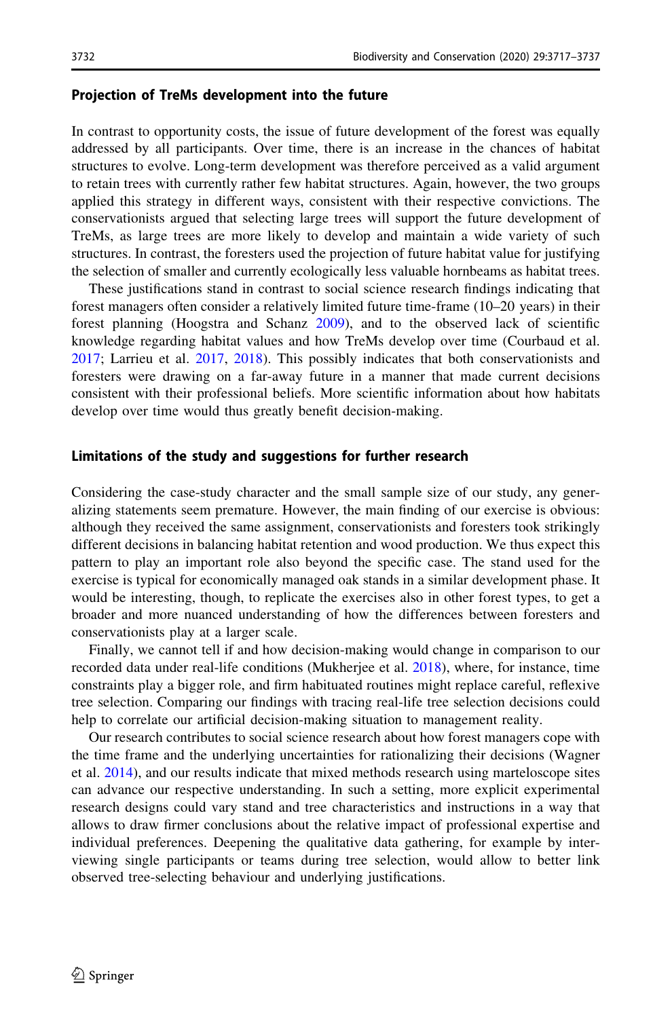#### Projection of TreMs development into the future

In contrast to opportunity costs, the issue of future development of the forest was equally addressed by all participants. Over time, there is an increase in the chances of habitat structures to evolve. Long-term development was therefore perceived as a valid argument to retain trees with currently rather few habitat structures. Again, however, the two groups applied this strategy in different ways, consistent with their respective convictions. The conservationists argued that selecting large trees will support the future development of TreMs, as large trees are more likely to develop and maintain a wide variety of such structures. In contrast, the foresters used the projection of future habitat value for justifying the selection of smaller and currently ecologically less valuable hornbeams as habitat trees.

These justifications stand in contrast to social science research findings indicating that forest managers often consider a relatively limited future time-frame (10–20 years) in their forest planning (Hoogstra and Schanz [2009\)](#page-19-0), and to the observed lack of scientific knowledge regarding habitat values and how TreMs develop over time (Courbaud et al. [2017;](#page-19-0) Larrieu et al. [2017,](#page-19-0) [2018](#page-19-0)). This possibly indicates that both conservationists and foresters were drawing on a far-away future in a manner that made current decisions consistent with their professional beliefs. More scientific information about how habitats develop over time would thus greatly benefit decision-making.

#### Limitations of the study and suggestions for further research

Considering the case-study character and the small sample size of our study, any generalizing statements seem premature. However, the main finding of our exercise is obvious: although they received the same assignment, conservationists and foresters took strikingly different decisions in balancing habitat retention and wood production. We thus expect this pattern to play an important role also beyond the specific case. The stand used for the exercise is typical for economically managed oak stands in a similar development phase. It would be interesting, though, to replicate the exercises also in other forest types, to get a broader and more nuanced understanding of how the differences between foresters and conservationists play at a larger scale.

Finally, we cannot tell if and how decision-making would change in comparison to our recorded data under real-life conditions (Mukherjee et al. [2018\)](#page-19-0), where, for instance, time constraints play a bigger role, and firm habituated routines might replace careful, reflexive tree selection. Comparing our findings with tracing real-life tree selection decisions could help to correlate our artificial decision-making situation to management reality.

Our research contributes to social science research about how forest managers cope with the time frame and the underlying uncertainties for rationalizing their decisions (Wagner et al. [2014](#page-20-0)), and our results indicate that mixed methods research using marteloscope sites can advance our respective understanding. In such a setting, more explicit experimental research designs could vary stand and tree characteristics and instructions in a way that allows to draw firmer conclusions about the relative impact of professional expertise and individual preferences. Deepening the qualitative data gathering, for example by interviewing single participants or teams during tree selection, would allow to better link observed tree-selecting behaviour and underlying justifications.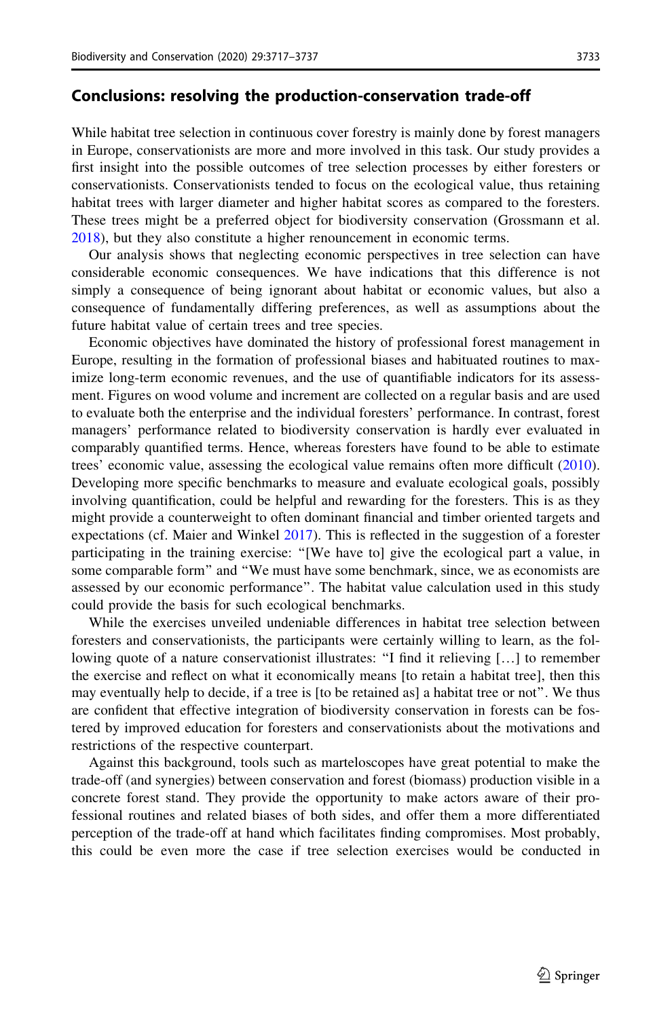### Conclusions: resolving the production-conservation trade-off

While habitat tree selection in continuous cover forestry is mainly done by forest managers in Europe, conservationists are more and more involved in this task. Our study provides a first insight into the possible outcomes of tree selection processes by either foresters or conservationists. Conservationists tended to focus on the ecological value, thus retaining habitat trees with larger diameter and higher habitat scores as compared to the foresters. These trees might be a preferred object for biodiversity conservation (Grossmann et al. [2018\)](#page-19-0), but they also constitute a higher renouncement in economic terms.

Our analysis shows that neglecting economic perspectives in tree selection can have considerable economic consequences. We have indications that this difference is not simply a consequence of being ignorant about habitat or economic values, but also a consequence of fundamentally differing preferences, as well as assumptions about the future habitat value of certain trees and tree species.

Economic objectives have dominated the history of professional forest management in Europe, resulting in the formation of professional biases and habituated routines to maximize long-term economic revenues, and the use of quantifiable indicators for its assessment. Figures on wood volume and increment are collected on a regular basis and are used to evaluate both the enterprise and the individual foresters' performance. In contrast, forest managers' performance related to biodiversity conservation is hardly ever evaluated in comparably quantified terms. Hence, whereas foresters have found to be able to estimate trees' economic value, assessing the ecological value remains often more difficult [\(2010](#page-20-0)). Developing more specific benchmarks to measure and evaluate ecological goals, possibly involving quantification, could be helpful and rewarding for the foresters. This is as they might provide a counterweight to often dominant financial and timber oriented targets and expectations (cf. Maier and Winkel [2017\)](#page-19-0). This is reflected in the suggestion of a forester participating in the training exercise: ''[We have to] give the ecological part a value, in some comparable form'' and ''We must have some benchmark, since, we as economists are assessed by our economic performance''. The habitat value calculation used in this study could provide the basis for such ecological benchmarks.

While the exercises unveiled undeniable differences in habitat tree selection between foresters and conservationists, the participants were certainly willing to learn, as the following quote of a nature conservationist illustrates: "I find it relieving [...] to remember the exercise and reflect on what it economically means [to retain a habitat tree], then this may eventually help to decide, if a tree is [to be retained as] a habitat tree or not''. We thus are confident that effective integration of biodiversity conservation in forests can be fostered by improved education for foresters and conservationists about the motivations and restrictions of the respective counterpart.

Against this background, tools such as marteloscopes have great potential to make the trade-off (and synergies) between conservation and forest (biomass) production visible in a concrete forest stand. They provide the opportunity to make actors aware of their professional routines and related biases of both sides, and offer them a more differentiated perception of the trade-off at hand which facilitates finding compromises. Most probably, this could be even more the case if tree selection exercises would be conducted in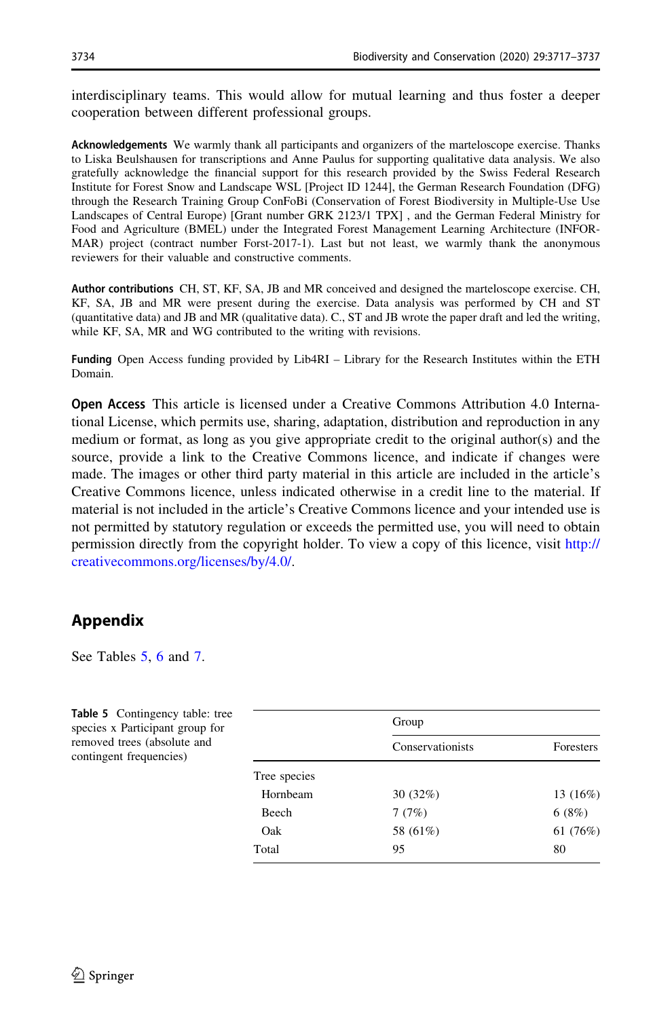<span id="page-17-0"></span>interdisciplinary teams. This would allow for mutual learning and thus foster a deeper cooperation between different professional groups.

Acknowledgements We warmly thank all participants and organizers of the marteloscope exercise. Thanks to Liska Beulshausen for transcriptions and Anne Paulus for supporting qualitative data analysis. We also gratefully acknowledge the financial support for this research provided by the Swiss Federal Research Institute for Forest Snow and Landscape WSL [Project ID 1244], the German Research Foundation (DFG) through the Research Training Group ConFoBi (Conservation of Forest Biodiversity in Multiple-Use Use Landscapes of Central Europe) [Grant number GRK 2123/1 TPX] , and the German Federal Ministry for Food and Agriculture (BMEL) under the Integrated Forest Management Learning Architecture (INFOR-MAR) project (contract number Forst-2017-1). Last but not least, we warmly thank the anonymous reviewers for their valuable and constructive comments.

Author contributions CH, ST, KF, SA, JB and MR conceived and designed the marteloscope exercise. CH, KF, SA, JB and MR were present during the exercise. Data analysis was performed by CH and ST (quantitative data) and JB and MR (qualitative data). C., ST and JB wrote the paper draft and led the writing, while KF, SA, MR and WG contributed to the writing with revisions.

Funding Open Access funding provided by Lib4RI – Library for the Research Institutes within the ETH Domain.

Open Access This article is licensed under a Creative Commons Attribution 4.0 International License, which permits use, sharing, adaptation, distribution and reproduction in any medium or format, as long as you give appropriate credit to the original author(s) and the source, provide a link to the Creative Commons licence, and indicate if changes were made. The images or other third party material in this article are included in the article's Creative Commons licence, unless indicated otherwise in a credit line to the material. If material is not included in the article's Creative Commons licence and your intended use is not permitted by statutory regulation or exceeds the permitted use, you will need to obtain permission directly from the copyright holder. To view a copy of this licence, visit [http://](http://creativecommons.org/licenses/by/4.0/) [creativecommons.org/licenses/by/4.0/.](http://creativecommons.org/licenses/by/4.0/)

## Appendix

See Tables 5, [6](#page-18-0) and [7.](#page-18-0)

| <b>Table 5</b> Contingency table: tree<br>species x Participant group for |              | Group            |            |
|---------------------------------------------------------------------------|--------------|------------------|------------|
| removed trees (absolute and<br>contingent frequencies)                    |              | Conservationists | Foresters  |
|                                                                           | Tree species |                  |            |
|                                                                           | Hornbeam     | 30(32%)          | 13 $(16%)$ |
|                                                                           | Beech        | 7(7%)            | 6(8%)      |
|                                                                           | Oak          | 58 (61%)         | 61 (76%)   |
|                                                                           | Total        | 95               | 80         |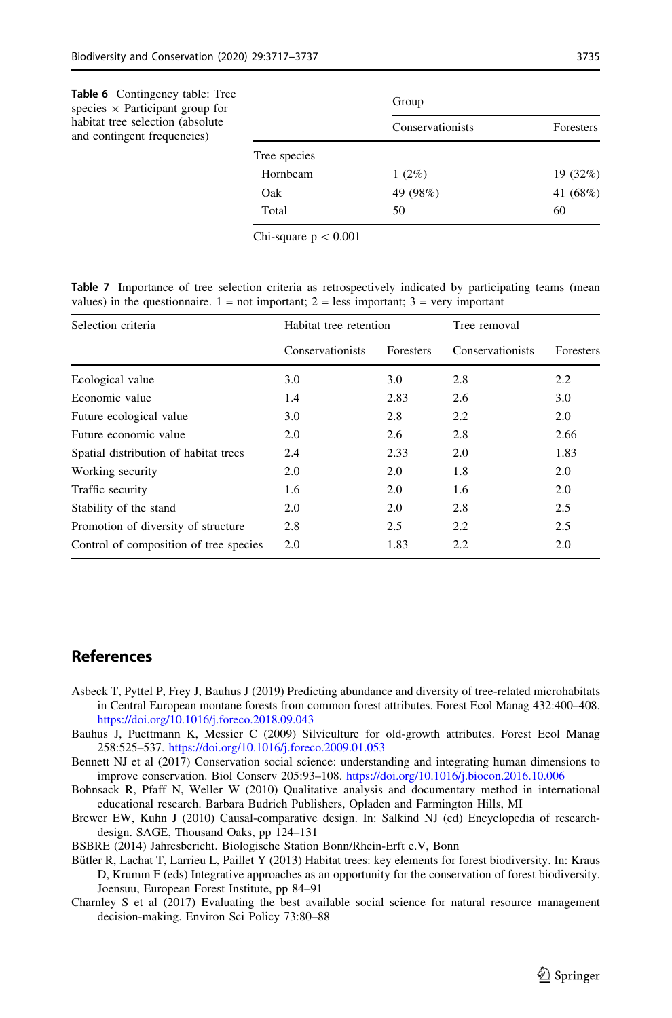<span id="page-18-0"></span>

| <b>Table 6</b> Contingency table: Tree<br>species $\times$ Participant group for |              | Group            |           |  |
|----------------------------------------------------------------------------------|--------------|------------------|-----------|--|
| habitat tree selection (absolute)<br>and contingent frequencies)                 |              | Conservationists | Foresters |  |
|                                                                                  | Tree species |                  |           |  |
|                                                                                  | Hornbeam     | $1(2\%)$         | 19 (32%)  |  |
|                                                                                  | Oak          | 49 (98%)         | 41 (68%)  |  |
|                                                                                  | Total        | 50               | 60        |  |

Chi-square  $p < 0.001$ 

Table 7 Importance of tree selection criteria as retrospectively indicated by participating teams (mean values) in the questionnaire.  $1 = not important$ ;  $2 = less important$ ;  $3 = very important$ 

| Selection criteria                     | Habitat tree retention |           | Tree removal     |                  |  |
|----------------------------------------|------------------------|-----------|------------------|------------------|--|
|                                        | Conservationists       | Foresters | Conservationists | <b>Foresters</b> |  |
| Ecological value                       | 3.0                    | 3.0       | 2.8              | 2.2              |  |
| Economic value                         | 1.4                    | 2.83      | 2.6              | 3.0              |  |
| Future ecological value                | 3.0                    | 2.8       | 2.2              | 2.0              |  |
| Future economic value                  | 2.0                    | 2.6       | 2.8              | 2.66             |  |
| Spatial distribution of habitat trees  | 2.4                    | 2.33      | 2.0              | 1.83             |  |
| Working security                       | 2.0                    | 2.0       | 1.8              | 2.0              |  |
| Traffic security                       | 1.6                    | 2.0       | 1.6              | 2.0              |  |
| Stability of the stand                 | 2.0                    | 2.0       | 2.8              | 2.5              |  |
| Promotion of diversity of structure    | 2.8                    | 2.5       | 2.2              | 2.5              |  |
| Control of composition of tree species | 2.0                    | 1.83      | 2.2              | 2.0              |  |

### References

- Asbeck T, Pyttel P, Frey J, Bauhus J (2019) Predicting abundance and diversity of tree-related microhabitats in Central European montane forests from common forest attributes. Forest Ecol Manag 432:400–408. <https://doi.org/10.1016/j.foreco.2018.09.043>
- Bauhus J, Puettmann K, Messier C (2009) Silviculture for old-growth attributes. Forest Ecol Manag 258:525–537. <https://doi.org/10.1016/j.foreco.2009.01.053>
- Bennett NJ et al (2017) Conservation social science: understanding and integrating human dimensions to improve conservation. Biol Conserv 205:93–108. <https://doi.org/10.1016/j.biocon.2016.10.006>
- Bohnsack R, Pfaff N, Weller W (2010) Qualitative analysis and documentary method in international educational research. Barbara Budrich Publishers, Opladen and Farmington Hills, MI
- Brewer EW, Kuhn J (2010) Causal-comparative design. In: Salkind NJ (ed) Encyclopedia of researchdesign. SAGE, Thousand Oaks, pp 124–131
- BSBRE (2014) Jahresbericht. Biologische Station Bonn/Rhein-Erft e.V, Bonn
- Bütler R, Lachat T, Larrieu L, Paillet Y (2013) Habitat trees: key elements for forest biodiversity. In: Kraus D, Krumm F (eds) Integrative approaches as an opportunity for the conservation of forest biodiversity. Joensuu, European Forest Institute, pp 84–91
- Charnley S et al (2017) Evaluating the best available social science for natural resource management decision-making. Environ Sci Policy 73:80–88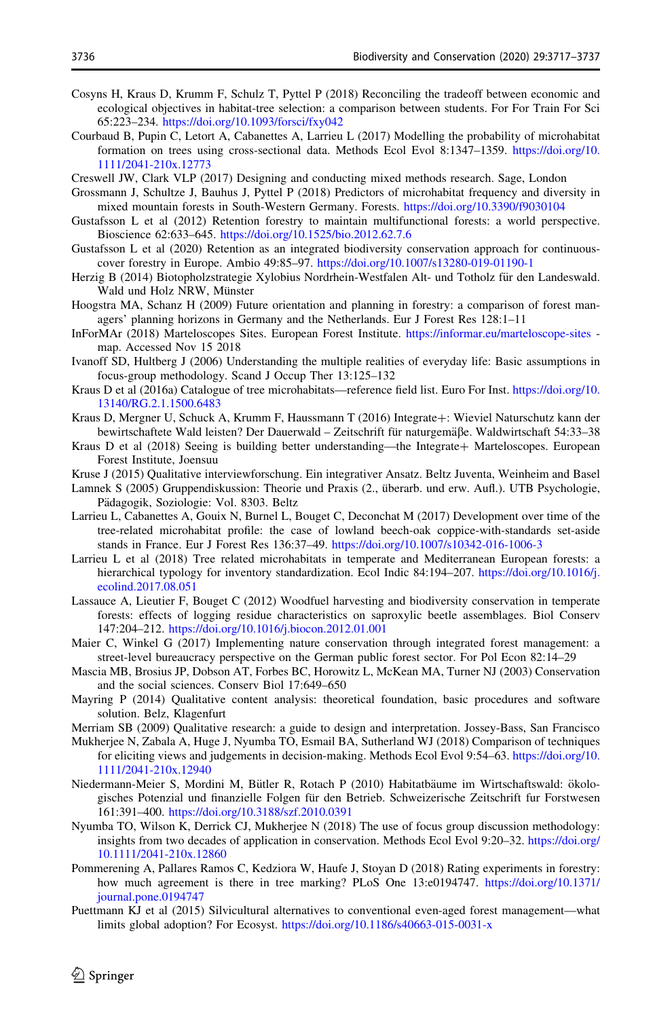- <span id="page-19-0"></span>Cosyns H, Kraus D, Krumm F, Schulz T, Pyttel P (2018) Reconciling the tradeoff between economic and ecological objectives in habitat-tree selection: a comparison between students. For For Train For Sci 65:223–234. <https://doi.org/10.1093/forsci/fxy042>
- Courbaud B, Pupin C, Letort A, Cabanettes A, Larrieu L (2017) Modelling the probability of microhabitat formation on trees using cross-sectional data. Methods Ecol Evol 8:1347–1359. [https://doi.org/10.](https://doi.org/10.1111/2041-210x.12773) [1111/2041-210x.12773](https://doi.org/10.1111/2041-210x.12773)
- Creswell JW, Clark VLP (2017) Designing and conducting mixed methods research. Sage, London
- Grossmann J, Schultze J, Bauhus J, Pyttel P (2018) Predictors of microhabitat frequency and diversity in mixed mountain forests in South-Western Germany. Forests. <https://doi.org/10.3390/f9030104>
- Gustafsson L et al (2012) Retention forestry to maintain multifunctional forests: a world perspective. Bioscience 62:633–645. <https://doi.org/10.1525/bio.2012.62.7.6>
- Gustafsson L et al (2020) Retention as an integrated biodiversity conservation approach for continuouscover forestry in Europe. Ambio 49:85–97. <https://doi.org/10.1007/s13280-019-01190-1>
- Herzig B (2014) Biotopholzstrategie Xylobius Nordrhein-Westfalen Alt- und Totholz für den Landeswald. Wald und Holz NRW, Münster
- Hoogstra MA, Schanz H (2009) Future orientation and planning in forestry: a comparison of forest managers' planning horizons in Germany and the Netherlands. Eur J Forest Res 128:1–11
- InForMAr (2018) Marteloscopes Sites. European Forest Institute. <https://informar.eu/marteloscope-sites> map. Accessed Nov 15 2018
- Ivanoff SD, Hultberg J (2006) Understanding the multiple realities of everyday life: Basic assumptions in focus-group methodology. Scand J Occup Ther 13:125–132
- Kraus D et al (2016a) Catalogue of tree microhabitats—reference field list. Euro For Inst. [https://doi.org/10.](https://doi.org/10.13140/RG.2.1.1500.6483) [13140/RG.2.1.1500.6483](https://doi.org/10.13140/RG.2.1.1500.6483)
- Kraus D, Mergner U, Schuck A, Krumm F, Haussmann T (2016) Integrate?: Wieviel Naturschutz kann der bewirtschaftete Wald leisten? Der Dauerwald – Zeitschrift für naturgemäße. Waldwirtschaft 54:33–38
- Kraus D et al (2018) Seeing is building better understanding—the Integrate+ Marteloscopes. European Forest Institute, Joensuu
- Kruse J (2015) Qualitative interviewforschung. Ein integrativer Ansatz. Beltz Juventa, Weinheim and Basel
- Lamnek S (2005) Gruppendiskussion: Theorie und Praxis (2., überarb. und erw. Aufl.). UTB Psychologie, Pädagogik, Soziologie: Vol. 8303. Beltz
- Larrieu L, Cabanettes A, Gouix N, Burnel L, Bouget C, Deconchat M (2017) Development over time of the tree-related microhabitat profile: the case of lowland beech-oak coppice-with-standards set-aside stands in France. Eur J Forest Res 136:37–49. <https://doi.org/10.1007/s10342-016-1006-3>
- Larrieu L et al (2018) Tree related microhabitats in temperate and Mediterranean European forests: a hierarchical typology for inventory standardization. Ecol Indic 84:194–207. [https://doi.org/10.1016/j.](https://doi.org/10.1016/j.ecolind.2017.08.051) [ecolind.2017.08.051](https://doi.org/10.1016/j.ecolind.2017.08.051)
- Lassauce A, Lieutier F, Bouget C (2012) Woodfuel harvesting and biodiversity conservation in temperate forests: effects of logging residue characteristics on saproxylic beetle assemblages. Biol Conserv 147:204–212. <https://doi.org/10.1016/j.biocon.2012.01.001>
- Maier C, Winkel G (2017) Implementing nature conservation through integrated forest management: a street-level bureaucracy perspective on the German public forest sector. For Pol Econ 82:14–29
- Mascia MB, Brosius JP, Dobson AT, Forbes BC, Horowitz L, McKean MA, Turner NJ (2003) Conservation and the social sciences. Conserv Biol 17:649–650
- Mayring P (2014) Qualitative content analysis: theoretical foundation, basic procedures and software solution. Belz, Klagenfurt
- Merriam SB (2009) Qualitative research: a guide to design and interpretation. Jossey-Bass, San Francisco
- Mukherjee N, Zabala A, Huge J, Nyumba TO, Esmail BA, Sutherland WJ (2018) Comparison of techniques for eliciting views and judgements in decision-making. Methods Ecol Evol 9:54–63. [https://doi.org/10.](https://doi.org/10.1111/2041-210x.12940) [1111/2041-210x.12940](https://doi.org/10.1111/2041-210x.12940)
- Niedermann-Meier S, Mordini M, Bütler R, Rotach P (2010) Habitatbäume im Wirtschaftswald: ökologisches Potenzial und finanzielle Folgen für den Betrieb. Schweizerische Zeitschrift fur Forstwesen 161:391–400. <https://doi.org/10.3188/szf.2010.0391>
- Nyumba TO, Wilson K, Derrick CJ, Mukherjee N (2018) The use of focus group discussion methodology: insights from two decades of application in conservation. Methods Ecol Evol 9:20–32. [https://doi.org/](https://doi.org/10.1111/2041-210x.12860) [10.1111/2041-210x.12860](https://doi.org/10.1111/2041-210x.12860)
- Pommerening A, Pallares Ramos C, Kedziora W, Haufe J, Stoyan D (2018) Rating experiments in forestry: how much agreement is there in tree marking? PLoS One 13:e0194747. [https://doi.org/10.1371/](https://doi.org/10.1371/journal.pone.0194747) [journal.pone.0194747](https://doi.org/10.1371/journal.pone.0194747)
- Puettmann KJ et al (2015) Silvicultural alternatives to conventional even-aged forest management—what limits global adoption? For Ecosyst. <https://doi.org/10.1186/s40663-015-0031-x>